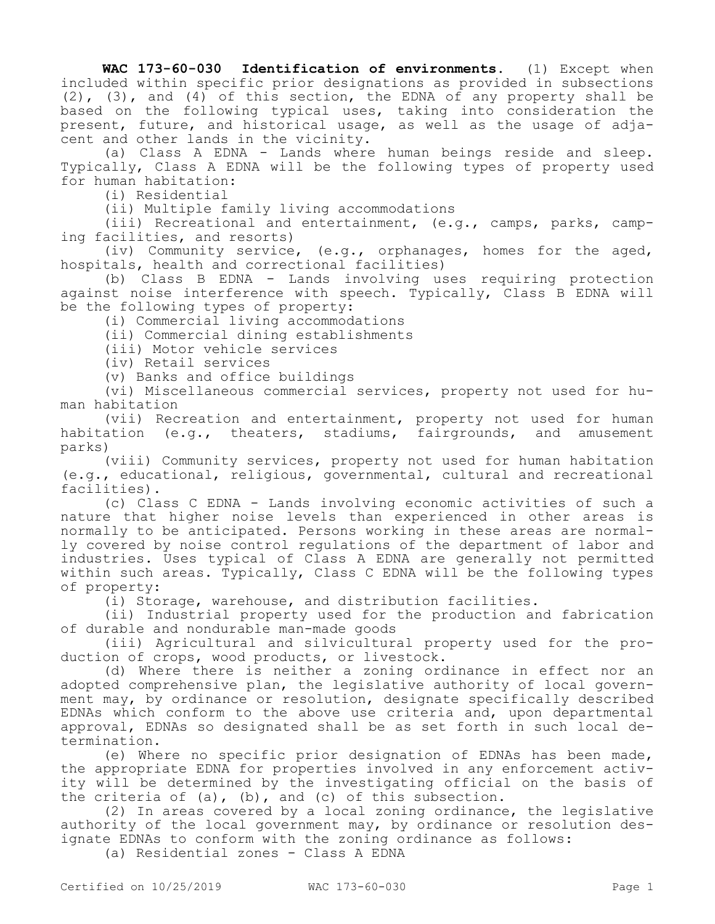**WAC 173-60-030 Identification of environments.** (1) Except when included within specific prior designations as provided in subsections  $(2)$ ,  $(3)$ , and  $(4)$  of this section, the EDNA of any property shall be based on the following typical uses, taking into consideration the present, future, and historical usage, as well as the usage of adjacent and other lands in the vicinity.

(a) Class A EDNA - Lands where human beings reside and sleep. Typically, Class A EDNA will be the following types of property used for human habitation:

(i) Residential

(ii) Multiple family living accommodations

(iii) Recreational and entertainment, (e.g., camps, parks, camping facilities, and resorts)

(iv) Community service, (e.g., orphanages, homes for the aged, hospitals, health and correctional facilities)

(b) Class B EDNA - Lands involving uses requiring protection against noise interference with speech. Typically, Class B EDNA will be the following types of property:

(i) Commercial living accommodations

(ii) Commercial dining establishments

(iii) Motor vehicle services

(iv) Retail services

(v) Banks and office buildings

(vi) Miscellaneous commercial services, property not used for human habitation

(vii) Recreation and entertainment, property not used for human habitation (e.g., theaters, stadiums, fairgrounds, and amusement parks)

(viii) Community services, property not used for human habitation (e.g., educational, religious, governmental, cultural and recreational facilities).

(c) Class C EDNA - Lands involving economic activities of such a nature that higher noise levels than experienced in other areas is normally to be anticipated. Persons working in these areas are normally covered by noise control regulations of the department of labor and industries. Uses typical of Class A EDNA are generally not permitted within such areas. Typically, Class C EDNA will be the following types of property:

(i) Storage, warehouse, and distribution facilities.

(ii) Industrial property used for the production and fabrication of durable and nondurable man-made goods

(iii) Agricultural and silvicultural property used for the production of crops, wood products, or livestock.

(d) Where there is neither a zoning ordinance in effect nor an adopted comprehensive plan, the legislative authority of local government may, by ordinance or resolution, designate specifically described EDNAs which conform to the above use criteria and, upon departmental approval, EDNAs so designated shall be as set forth in such local determination.

(e) Where no specific prior designation of EDNAs has been made, the appropriate EDNA for properties involved in any enforcement activity will be determined by the investigating official on the basis of the criteria of (a), (b), and (c) of this subsection.

(2) In areas covered by a local zoning ordinance, the legislative authority of the local government may, by ordinance or resolution designate EDNAs to conform with the zoning ordinance as follows:

(a) Residential zones - Class A EDNA